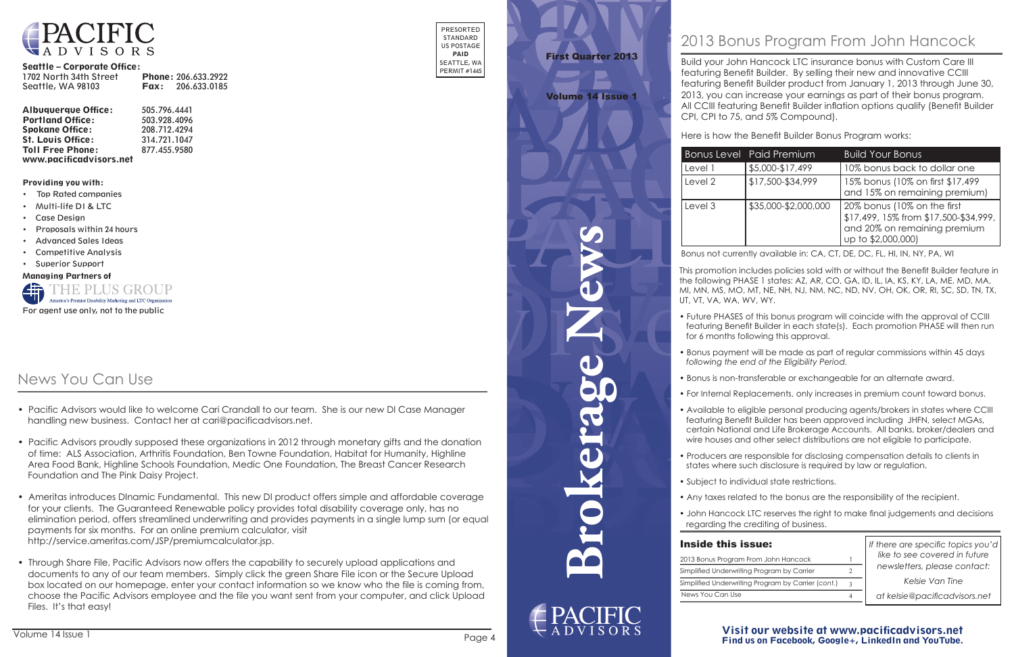**Brokerage News**

### Visit our website at www.pacificadvisors.net Find us on Facebook, Google+, LinkedIn and YouTube.



#### Seattle – Corporate Office:

| 1702 North 34th Street | <b>Phone: 206.633.2922</b> |
|------------------------|----------------------------|
| Seattle, WA 98103      | <b>Fax:</b> $206.633.0185$ |

| <b>Albuquerque Office:</b> | 505.796.4441 |
|----------------------------|--------------|
| <b>Portland Office:</b>    | 503.928.4096 |
| <b>Spokane Office:</b>     | 208.712.4294 |
| <b>St. Louis Office:</b>   | 314.721.1047 |
| <b>Toll Free Phone:</b>    | 877.455.9580 |
| www.pacificadvisors.net    |              |

PRESORTED STANDARD US POSTAGE PAID SEATTLE, WA PERMIT #1445

Providing you with:

- Top Rated companies
- Multi-life DI & LTC
- Case Design
- Proposals within 24 hours
- Advanced Sales Ideas
- Competitive Analysis
- Superior Support

Managing Partners of



*If there are specific topics you'd like to see covered in future newsletters, please contact:*

*Kelsie Van Tine*

*at kelsie@pacificadvisors.net*

| 2013 Bonus Program     |
|------------------------|
| Simplified Underwritir |
| Simplified Underwritir |
| News You Can Use       |

| Inside this issue:                                 |  |  |  |
|----------------------------------------------------|--|--|--|
| 2013 Bonus Program From John Hancock               |  |  |  |
| Simplified Underwriting Program by Carrier         |  |  |  |
| Simplified Underwriting Program by Carrier (cont.) |  |  |  |
| News You Can Use                                   |  |  |  |

# First Quarter 2013

## Volume 14 Issue 1

## 2013 Bonus Program From John Hancock

Build your John Hancock LTC insurance bonus with Custom Care III featuring Benefit Builder. By selling their new and innovative CCIII featuring Benefit Builder product from January 1, 2013 through June 30, 2013, you can increase your earnings as part of their bonus program. All CCIII featuring Benefit Builder inflation options qualify (Benefit Builder CPI, CPI to 75, and 5% Compound).

Here is how the Benefit Builder Bonus Program works:



|         | <b>Bonus Level Paid Premium</b> | <b>Build Your Bonus</b>                                                                                                    |
|---------|---------------------------------|----------------------------------------------------------------------------------------------------------------------------|
| Level 1 | \$5,000-\$17,499                | 10% bonus back to dollar one                                                                                               |
| Level 2 | \$17,500-\$34,999               | 15% bonus (10% on first \$17,499<br>and 15% on remaining premium)                                                          |
| Level 3 | \$35,000-\$2,000,000            | 20% bonus (10% on the first<br>\$17,499, 15% from \$17,500-\$34,999,<br>and 20% on remaining premium<br>up to \$2,000,000) |

Bonus not currently available in: CA, CT, DE, DC, FL, HI, IN, NY, PA, WI

This promotion includes policies sold with or without the Benefit Builder feature in the following PHASE 1 states: AZ, AR, CO, GA, ID, IL, IA, KS, KY, LA, ME, MD, MA, MI, MN, MS, MO, MT, NE, NH, NJ, NM, NC, ND, NV, OH, OK, OR, RI, SC, SD, TN, TX, UT, VT, VA, WA, WV, WY.

- 
- 
- 
- 
- 
- 
- 
- 
- 

## **Inside this is**

• Future PHASES of this bonus program will coincide with the approval of CCIII featuring Benefit Builder in each state(s). Each promotion PHASE will then run for 6 months following this approval.

• Bonus payment will be made as part of regular commissions within 45 days  *following the end of the Eligibility Period.*

• Bonus is non-transferable or exchangeable for an alternate award.

• For Internal Replacements, only increases in premium count toward bonus.

• Available to eligible personal producing agents/brokers in states where CCIII featuring Benefit Builder has been approved including JHFN, select MGAs, certain National and Life Brokerage Accounts. All banks, broker/dealers and wire houses and other select distributions are not eligible to participate.

• Producers are responsible for disclosing compensation details to clients in states where such disclosure is required by law or regulation.

• Subject to individual state restrictions.

• Any taxes related to the bonus are the responsibility of the recipient.

• John Hancock LTC reserves the right to make final judgements and decisions regarding the crediting of business.

## News You Can Use

- Pacific Advisors would like to welcome Cari Crandall to our team. She is our new DI Case Manager handling new business. Contact her at cari@pacificadvisors.net.
- Pacific Advisors proudly supposed these organizations in 2012 through monetary gifts and the donation of time: ALS Association, Arthritis Foundation, Ben Towne Foundation, Habitat for Humanity, Highline Area Food Bank, Highline Schools Foundation, Medic One Foundation, The Breast Cancer Research Foundation and The Pink Daisy Project.
- Ameritas introduces DInamic Fundamental. This new DI product offers simple and affordable coverage for your clients. The Guaranteed Renewable policy provides total disability coverage only, has no elimination period, offers streamlined underwriting and provides payments in a single lump sum (or equal payments for six months. For an online premium calculator, visit http://service.ameritas.com/JSP/premiumcalculator.jsp.
- Through Share File, Pacific Advisors now offers the capability to securely upload applications and documents to any of our team members. Simply click the green Share File icon or the Secure Upload box located on our homepage, enter your contact information so we know who the file is coming from, choose the Pacific Advisors employee and the file you want sent from your computer, and click Upload Files. It's that easy!